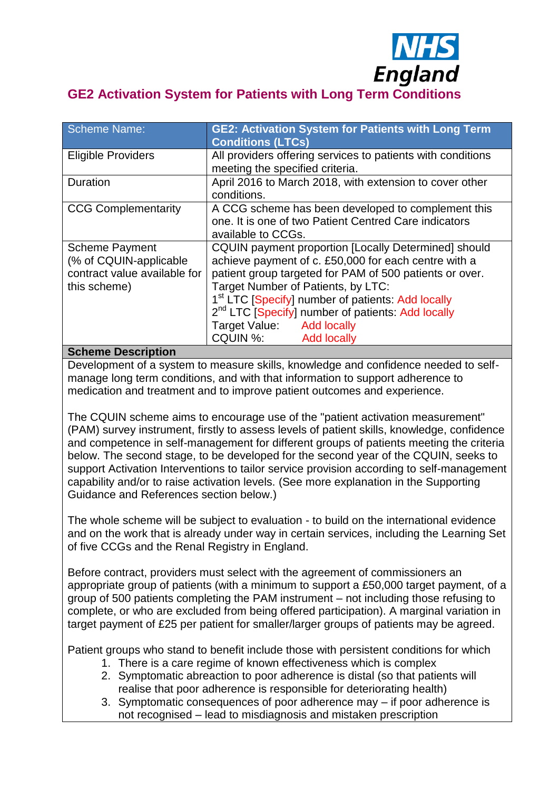

# **GE2 Activation System for Patients with Long Term Conditions**

| <b>GE2: Activation System for Patients with Long Term</b><br><b>Conditions (LTCs)</b>                                                                                                                                                                                                                                                                                                                                 |
|-----------------------------------------------------------------------------------------------------------------------------------------------------------------------------------------------------------------------------------------------------------------------------------------------------------------------------------------------------------------------------------------------------------------------|
| All providers offering services to patients with conditions<br>meeting the specified criteria.                                                                                                                                                                                                                                                                                                                        |
| April 2016 to March 2018, with extension to cover other<br>conditions.                                                                                                                                                                                                                                                                                                                                                |
| A CCG scheme has been developed to complement this<br>one. It is one of two Patient Centred Care indicators<br>available to CCGs.                                                                                                                                                                                                                                                                                     |
| <b>CQUIN payment proportion [Locally Determined] should</b><br>achieve payment of c. £50,000 for each centre with a<br>patient group targeted for PAM of 500 patients or over.<br>Target Number of Patients, by LTC:<br>1 <sup>st</sup> LTC [Specify] number of patients: Add locally<br>2 <sup>nd</sup> LTC [Specify] number of patients: Add locally<br>Target Value: Add locally<br>CQUIN %:<br><b>Add locally</b> |
|                                                                                                                                                                                                                                                                                                                                                                                                                       |

### **Scheme Description**

Development of a system to measure skills, knowledge and confidence needed to selfmanage long term conditions, and with that information to support adherence to medication and treatment and to improve patient outcomes and experience.

The CQUIN scheme aims to encourage use of the "patient activation measurement" (PAM) survey instrument, firstly to assess levels of patient skills, knowledge, confidence and competence in self-management for different groups of patients meeting the criteria below. The second stage, to be developed for the second year of the CQUIN, seeks to support Activation Interventions to tailor service provision according to self-management capability and/or to raise activation levels. (See more explanation in the Supporting Guidance and References section below.)

The whole scheme will be subject to evaluation - to build on the international evidence and on the work that is already under way in certain services, including the Learning Set of five CCGs and the Renal Registry in England.

Before contract, providers must select with the agreement of commissioners an appropriate group of patients (with a minimum to support a £50,000 target payment, of a group of 500 patients completing the PAM instrument – not including those refusing to complete, or who are excluded from being offered participation). A marginal variation in target payment of £25 per patient for smaller/larger groups of patients may be agreed.

Patient groups who stand to benefit include those with persistent conditions for which

- 1. There is a care regime of known effectiveness which is complex
- 2. Symptomatic abreaction to poor adherence is distal (so that patients will realise that poor adherence is responsible for deteriorating health)
- 3. Symptomatic consequences of poor adherence may if poor adherence is not recognised – lead to misdiagnosis and mistaken prescription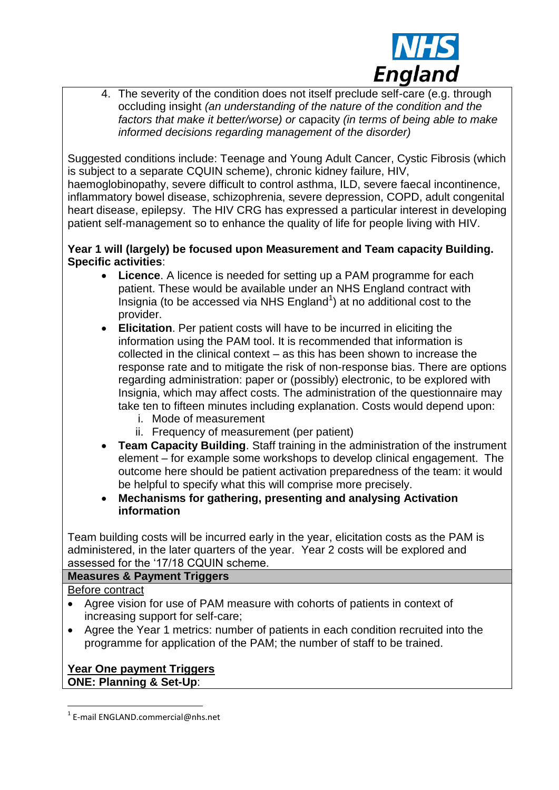

4. The severity of the condition does not itself preclude self-care (e.g. through occluding insight *(an understanding of the nature of the condition and the factors that make it better/worse) or* capacity *(in terms of being able to make informed decisions regarding management of the disorder)*

Suggested conditions include: Teenage and Young Adult Cancer, Cystic Fibrosis (which is subject to a separate CQUIN scheme), chronic kidney failure, HIV, haemoglobinopathy, severe difficult to control asthma, ILD, severe faecal incontinence, inflammatory bowel disease, schizophrenia, severe depression, COPD, adult congenital heart disease, epilepsy. The HIV CRG has expressed a particular interest in developing patient self-management so to enhance the quality of life for people living with HIV.

### **Year 1 will (largely) be focused upon Measurement and Team capacity Building. Specific activities**:

- **Licence**. A licence is needed for setting up a PAM programme for each patient. These would be available under an NHS England contract with Insignia (to be accessed via NHS England<sup>1</sup>) at no additional cost to the provider.
- **Elicitation**. Per patient costs will have to be incurred in eliciting the information using the PAM tool. It is recommended that information is collected in the clinical context – as this has been shown to increase the response rate and to mitigate the risk of non-response bias. There are options regarding administration: paper or (possibly) electronic, to be explored with Insignia, which may affect costs. The administration of the questionnaire may take ten to fifteen minutes including explanation. Costs would depend upon:
	- i. Mode of measurement
	- ii. Frequency of measurement (per patient)
- **Team Capacity Building**. Staff training in the administration of the instrument element – for example some workshops to develop clinical engagement. The outcome here should be patient activation preparedness of the team: it would be helpful to specify what this will comprise more precisely.
- **Mechanisms for gathering, presenting and analysing Activation information**

Team building costs will be incurred early in the year, elicitation costs as the PAM is administered, in the later quarters of the year. Year 2 costs will be explored and assessed for the '17/18 CQUIN scheme.

### **Measures & Payment Triggers**

Before contract

- Agree vision for use of PAM measure with cohorts of patients in context of increasing support for self-care;
- Agree the Year 1 metrics: number of patients in each condition recruited into the programme for application of the PAM; the number of staff to be trained.

# **Year One payment Triggers ONE: Planning & Set-Up**:

<sup>1</sup> 1 E-mail ENGLAND.commercial@nhs.net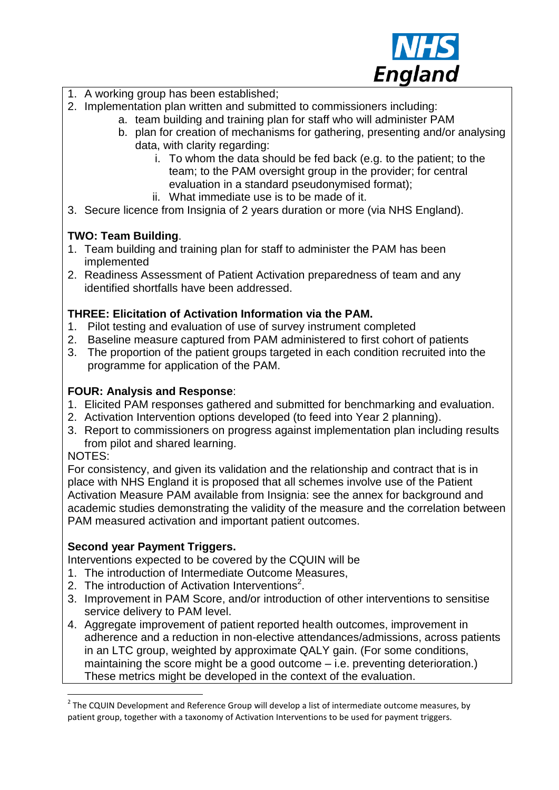

- 1. A working group has been established;
- 2. Implementation plan written and submitted to commissioners including:
	- a. team building and training plan for staff who will administer PAM
		- b. plan for creation of mechanisms for gathering, presenting and/or analysing data, with clarity regarding:
			- i. To whom the data should be fed back (e.g. to the patient; to the team; to the PAM oversight group in the provider; for central evaluation in a standard pseudonymised format);
			- ii. What immediate use is to be made of it.
- 3. Secure licence from Insignia of 2 years duration or more (via NHS England).

# **TWO: Team Building**.

- 1. Team building and training plan for staff to administer the PAM has been implemented
- 2. Readiness Assessment of Patient Activation preparedness of team and any identified shortfalls have been addressed.

### **THREE: Elicitation of Activation Information via the PAM.**

- 1. Pilot testing and evaluation of use of survey instrument completed
- 2. Baseline measure captured from PAM administered to first cohort of patients
- 3. The proportion of the patient groups targeted in each condition recruited into the programme for application of the PAM.

# **FOUR: Analysis and Response**:

- 1. Elicited PAM responses gathered and submitted for benchmarking and evaluation.
- 2. Activation Intervention options developed (to feed into Year 2 planning).
- 3. Report to commissioners on progress against implementation plan including results from pilot and shared learning.

NOTES:

For consistency, and given its validation and the relationship and contract that is in place with NHS England it is proposed that all schemes involve use of the Patient Activation Measure PAM available from Insignia: see the annex for background and academic studies demonstrating the validity of the measure and the correlation between PAM measured activation and important patient outcomes.

### **Second year Payment Triggers.**

Interventions expected to be covered by the CQUIN will be

- 1. The introduction of Intermediate Outcome Measures,
- 2. The introduction of Activation Interventions<sup>2</sup>.
- 3. Improvement in PAM Score, and/or introduction of other interventions to sensitise service delivery to PAM level.
- 4. Aggregate improvement of patient reported health outcomes, improvement in adherence and a reduction in non-elective attendances/admissions, across patients in an LTC group, weighted by approximate QALY gain. (For some conditions, maintaining the score might be a good outcome – i.e. preventing deterioration.) These metrics might be developed in the context of the evaluation.

 2 The CQUIN Development and Reference Group will develop a list of intermediate outcome measures, by patient group, together with a taxonomy of Activation Interventions to be used for payment triggers.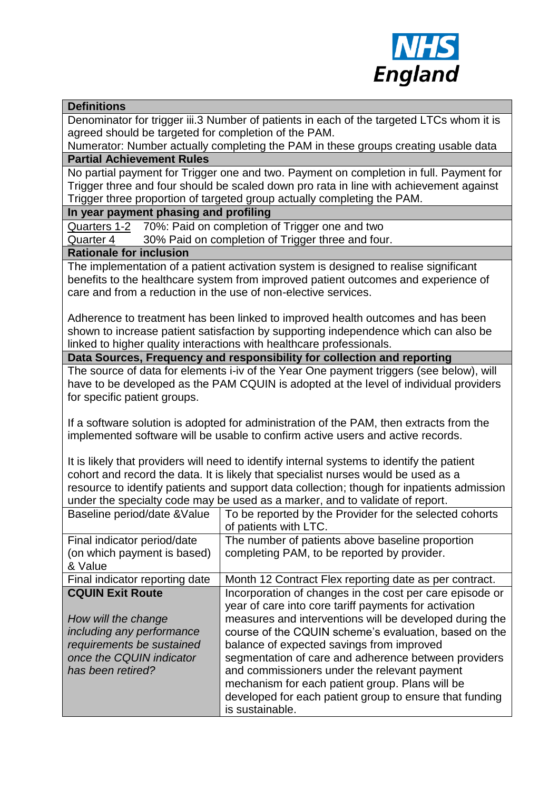

#### **Definitions**

Denominator for trigger iii.3 Number of patients in each of the targeted LTCs whom it is agreed should be targeted for completion of the PAM.

Numerator: Number actually completing the PAM in these groups creating usable data **Partial Achievement Rules**

No partial payment for Trigger one and two. Payment on completion in full. Payment for Trigger three and four should be scaled down pro rata in line with achievement against Trigger three proportion of targeted group actually completing the PAM.

### **In year payment phasing and profiling**

Quarters 1-2 70%: Paid on completion of Trigger one and two

Quarter 4 30% Paid on completion of Trigger three and four.

#### **Rationale for inclusion**

The implementation of a patient activation system is designed to realise significant benefits to the healthcare system from improved patient outcomes and experience of care and from a reduction in the use of non-elective services.

Adherence to treatment has been linked to improved health outcomes and has been shown to increase patient satisfaction by supporting independence which can also be linked to higher quality interactions with healthcare professionals.

#### **Data Sources, Frequency and responsibility for collection and reporting**

The source of data for elements i-iv of the Year One payment triggers (see below), will have to be developed as the PAM CQUIN is adopted at the level of individual providers for specific patient groups.

If a software solution is adopted for administration of the PAM, then extracts from the implemented software will be usable to confirm active users and active records.

It is likely that providers will need to identify internal systems to identify the patient cohort and record the data. It is likely that specialist nurses would be used as a resource to identify patients and support data collection; though for inpatients admission under the specialty code may be used as a marker, and to validate of report.

| Baseline period/date & Value                               | To be reported by the Provider for the selected cohorts<br>of patients with LTC.                                  |
|------------------------------------------------------------|-------------------------------------------------------------------------------------------------------------------|
| Final indicator period/date<br>(on which payment is based) | The number of patients above baseline proportion<br>completing PAM, to be reported by provider.                   |
| & Value                                                    |                                                                                                                   |
| Final indicator reporting date                             | Month 12 Contract Flex reporting date as per contract.                                                            |
| <b>CQUIN Exit Route</b>                                    | Incorporation of changes in the cost per care episode or<br>year of care into core tariff payments for activation |
| How will the change<br>including any performance           | measures and interventions will be developed during the<br>course of the CQUIN scheme's evaluation, based on the  |
| requirements be sustained                                  | balance of expected savings from improved                                                                         |
| once the CQUIN indicator                                   | segmentation of care and adherence between providers                                                              |
| has been retired?                                          | and commissioners under the relevant payment                                                                      |
|                                                            | mechanism for each patient group. Plans will be                                                                   |
|                                                            | developed for each patient group to ensure that funding                                                           |
|                                                            | is sustainable.                                                                                                   |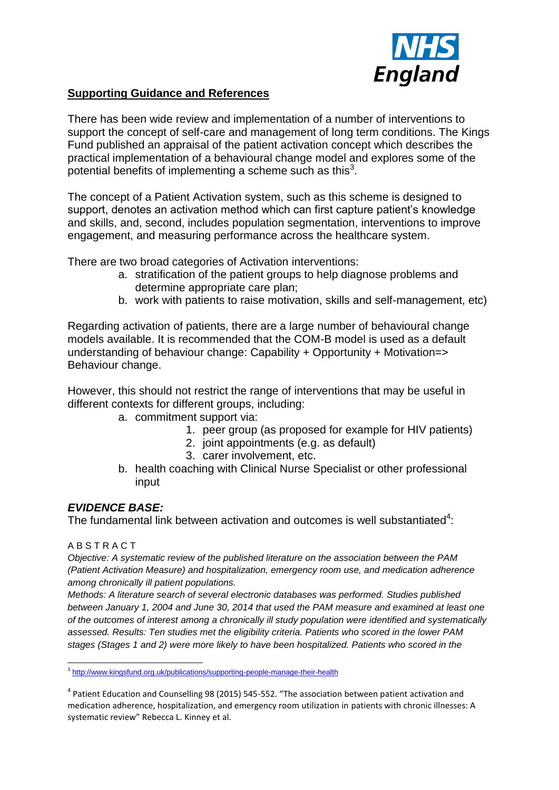

### **Supporting Guidance and References**

There has been wide review and implementation of a number of interventions to support the concept of self-care and management of long term conditions. The Kings Fund published an appraisal of the patient activation concept which describes the practical implementation of a behavioural change model and explores some of the potential benefits of implementing a scheme such as this<sup>3</sup>.

The concept of a Patient Activation system, such as this scheme is designed to support, denotes an activation method which can first capture patient's knowledge and skills, and, second, includes population segmentation, interventions to improve engagement, and measuring performance across the healthcare system.

There are two broad categories of Activation interventions:

- a. stratification of the patient groups to help diagnose problems and determine appropriate care plan;
- b. work with patients to raise motivation, skills and self-management, etc)

Regarding activation of patients, there are a large number of behavioural change models available. It is recommended that the COM-B model is used as a default understanding of behaviour change: Capability + Opportunity + Motivation=> Behaviour change.

However, this should not restrict the range of interventions that may be useful in different contexts for different groups, including:

- a. commitment support via:
	- 1. peer group (as proposed for example for HIV patients)
	- 2. joint appointments (e.g. as default)
	- 3. carer involvement, etc.
- b. health coaching with Clinical Nurse Specialist or other professional input

### *EVIDENCE BASE:*

The fundamental link between activation and outcomes is well substantiated<sup>4</sup>:

#### A B S T R A C T

*Objective: A systematic review of the published literature on the association between the PAM (Patient Activation Measure) and hospitalization, emergency room use, and medication adherence among chronically ill patient populations.* 

*Methods: A literature search of several electronic databases was performed. Studies published between January 1, 2004 and June 30, 2014 that used the PAM measure and examined at least one of the outcomes of interest among a chronically ill study population were identified and systematically assessed. Results: Ten studies met the eligibility criteria. Patients who scored in the lower PAM stages (Stages 1 and 2) were more likely to have been hospitalized. Patients who scored in the* 

 3 <http://www.kingsfund.org.uk/publications/supporting-people-manage-their-health>

<sup>&</sup>lt;sup>4</sup> Patient Education and Counselling 98 (2015) 545-552. "The association between patient activation and medication adherence, hospitalization, and emergency room utilization in patients with chronic illnesses: A systematic review" Rebecca L. Kinney et al.